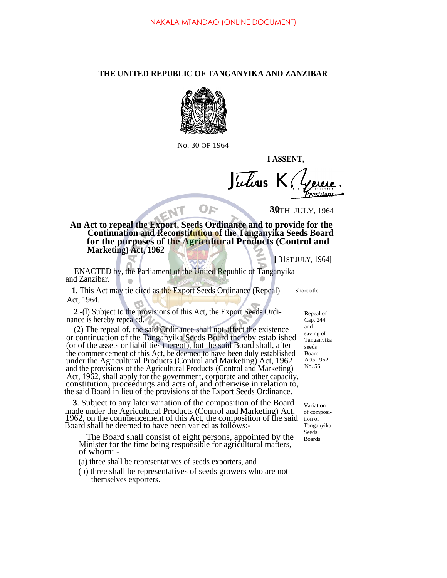## **THE UNITED REPUBLIC OF TANGANYIKA AND ZANZIBAR**



No. 30 OF 1964

**I ASSENT,**

*J us K.*

30TH JULY, 1964

**An Act to repeal the Export, Seeds Ordinance and to provide for the Continuation and Reconstitution of the Tanganyika Seeds Board for the purposes of the Agricultural Products (Control and Marketing) Act, 1962** .

OF

**[** 31ST JULY, 1964**]**

ENACTED by, the Parliament of the United Republic of Tanganyika and Zanzibar.

 $N$ 

**1.** This Act may tie cited as the Export Seeds Ordinance (Repeal) Act, 1964.

**2**.-(l) Subject to the provisions of this Act, the Export Seeds Ordinance is hereby repealed.

(2) The repeal of. the said Ordinance shall not affect the existence or continuation of the Tanganyika Seeds Board thereby established (or of the assets or liabilities thereof), but the said Board shall, after the commencement of this Act, be deemed to have been duly established under the Agricultural Products (Control and Marketing) Act, 1962 and the provisions of the Agricultural Products (Control and Marketing) Act, 1962, shall apply for the government, corporate and other capacity, constitution, proceedings and acts of, and otherwise in relation to, the said Board in lieu of the provisions of the Export Seeds Ordinance.

**3**. Subject to any later variation of the composition of the Board made under the Agricultural Products (Control and Marketing) Act, 1962, on the commencement of this Act, the composition of the said Board shall be deemed to have been varied as follows:-

The Board shall consist of eight persons, appointed by the Minister for the time being responsible for agricultural matters, of whom: -

(a) three shall be representatives of seeds exporters, and

(b) three shall be representatives of seeds growers who are not themselves exporters.

Repeal of Cap. 244 and saving of Tanganyika seeds Board Acts 1962 No. 56

Variation of composition of Tanganyika Seeds Boards

Short title